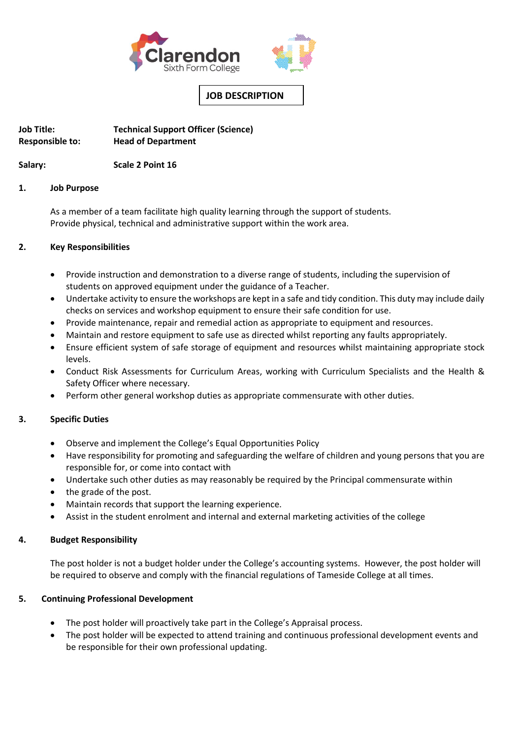

# **JOB DESCRIPTION**

**Job Title: Technical Support Officer (Science) Responsible to: Head of Department** 

**Salary: Scale 2 Point 16**

## **1. Job Purpose**

As a member of a team facilitate high quality learning through the support of students. Provide physical, technical and administrative support within the work area.

## **2. Key Responsibilities**

- Provide instruction and demonstration to a diverse range of students, including the supervision of students on approved equipment under the guidance of a Teacher.
- Undertake activity to ensure the workshops are kept in a safe and tidy condition. This duty may include daily checks on services and workshop equipment to ensure their safe condition for use.
- Provide maintenance, repair and remedial action as appropriate to equipment and resources.
- Maintain and restore equipment to safe use as directed whilst reporting any faults appropriately.
- Ensure efficient system of safe storage of equipment and resources whilst maintaining appropriate stock levels.
- Conduct Risk Assessments for Curriculum Areas, working with Curriculum Specialists and the Health & Safety Officer where necessary.
- Perform other general workshop duties as appropriate commensurate with other duties.

# **3. Specific Duties**

- Observe and implement the College's Equal Opportunities Policy
- Have responsibility for promoting and safeguarding the welfare of children and young persons that you are responsible for, or come into contact with
- Undertake such other duties as may reasonably be required by the Principal commensurate within
- the grade of the post.
- Maintain records that support the learning experience.
- Assist in the student enrolment and internal and external marketing activities of the college

## **4. Budget Responsibility**

The post holder is not a budget holder under the College's accounting systems. However, the post holder will be required to observe and comply with the financial regulations of Tameside College at all times.

# **5. Continuing Professional Development**

- The post holder will proactively take part in the College's Appraisal process.
- The post holder will be expected to attend training and continuous professional development events and be responsible for their own professional updating.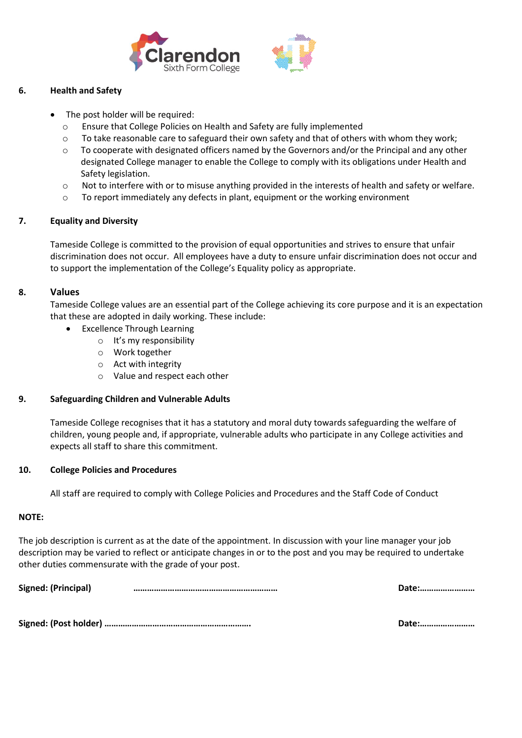



# **6. Health and Safety**

- The post holder will be required:
	- o Ensure that College Policies on Health and Safety are fully implemented
	- $\circ$  To take reasonable care to safeguard their own safety and that of others with whom they work;
	- $\circ$  To cooperate with designated officers named by the Governors and/or the Principal and any other designated College manager to enable the College to comply with its obligations under Health and Safety legislation.
	- o Not to interfere with or to misuse anything provided in the interests of health and safety or welfare.
	- $\circ$  To report immediately any defects in plant, equipment or the working environment

## **7. Equality and Diversity**

Tameside College is committed to the provision of equal opportunities and strives to ensure that unfair discrimination does not occur. All employees have a duty to ensure unfair discrimination does not occur and to support the implementation of the College's Equality policy as appropriate.

## **8. Values**

Tameside College values are an essential part of the College achieving its core purpose and it is an expectation that these are adopted in daily working. These include:

- Excellence Through Learning
	- o It's my responsibility
	- o Work together
	- o Act with integrity
	- o Value and respect each other

## **9. Safeguarding Children and Vulnerable Adults**

Tameside College recognises that it has a statutory and moral duty towards safeguarding the welfare of children, young people and, if appropriate, vulnerable adults who participate in any College activities and expects all staff to share this commitment.

## **10. College Policies and Procedures**

All staff are required to comply with College Policies and Procedures and the Staff Code of Conduct

## **NOTE:**

The job description is current as at the date of the appointment. In discussion with your line manager your job description may be varied to reflect or anticipate changes in or to the post and you may be required to undertake other duties commensurate with the grade of your post.

**Signed: (Principal) ……………………………………………………… Date:……………………**

**Signed: (Post holder) ………………………………………………………. Date:……………………**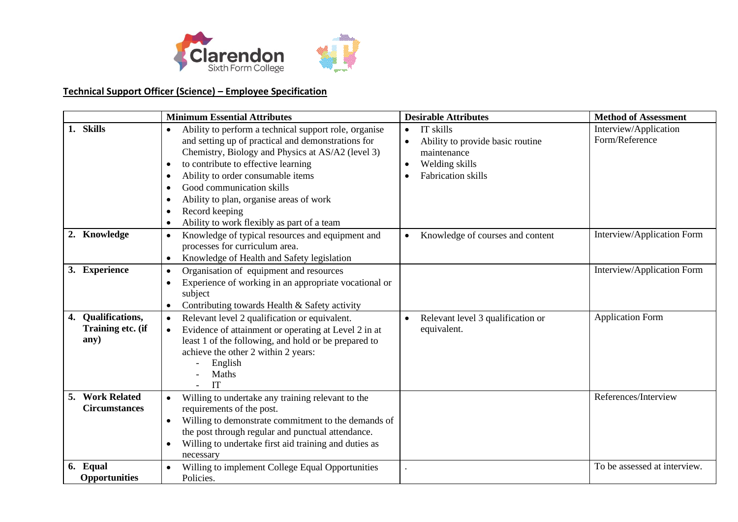

# **Technical Support Officer (Science) – Employee Specification**

|                                                 | <b>Minimum Essential Attributes</b>                                                                                                                                                                                                                                                                                                                                                                            | <b>Desirable Attributes</b>                                                                                              | <b>Method of Assessment</b>             |
|-------------------------------------------------|----------------------------------------------------------------------------------------------------------------------------------------------------------------------------------------------------------------------------------------------------------------------------------------------------------------------------------------------------------------------------------------------------------------|--------------------------------------------------------------------------------------------------------------------------|-----------------------------------------|
| 1. Skills                                       | Ability to perform a technical support role, organise<br>$\bullet$<br>and setting up of practical and demonstrations for<br>Chemistry, Biology and Physics at AS/A2 (level 3)<br>to contribute to effective learning<br>$\bullet$<br>Ability to order consumable items<br>Good communication skills<br>Ability to plan, organise areas of work<br>Record keeping<br>Ability to work flexibly as part of a team | IT skills<br>$\bullet$<br>Ability to provide basic routine<br>maintenance<br>Welding skills<br><b>Fabrication</b> skills | Interview/Application<br>Form/Reference |
| 2. Knowledge                                    | Knowledge of typical resources and equipment and<br>$\bullet$<br>processes for curriculum area.<br>Knowledge of Health and Safety legislation                                                                                                                                                                                                                                                                  | Knowledge of courses and content                                                                                         | Interview/Application Form              |
| 3. Experience                                   | Organisation of equipment and resources<br>$\bullet$<br>Experience of working in an appropriate vocational or<br>subject<br>Contributing towards Health & Safety activity                                                                                                                                                                                                                                      |                                                                                                                          | Interview/Application Form              |
| 4. Qualifications,<br>Training etc. (if<br>any) | Relevant level 2 qualification or equivalent.<br>$\bullet$<br>Evidence of attainment or operating at Level 2 in at<br>$\bullet$<br>least 1 of the following, and hold or be prepared to<br>achieve the other 2 within 2 years:<br>English<br>Maths<br>IT                                                                                                                                                       | Relevant level 3 qualification or<br>$\bullet$<br>equivalent.                                                            | <b>Application Form</b>                 |
| 5. Work Related<br><b>Circumstances</b>         | Willing to undertake any training relevant to the<br>requirements of the post.<br>Willing to demonstrate commitment to the demands of<br>$\bullet$<br>the post through regular and punctual attendance.<br>Willing to undertake first aid training and duties as<br>necessary                                                                                                                                  |                                                                                                                          | References/Interview                    |
| 6. Equal<br><b>Opportunities</b>                | Willing to implement College Equal Opportunities<br>Policies.                                                                                                                                                                                                                                                                                                                                                  |                                                                                                                          | To be assessed at interview.            |